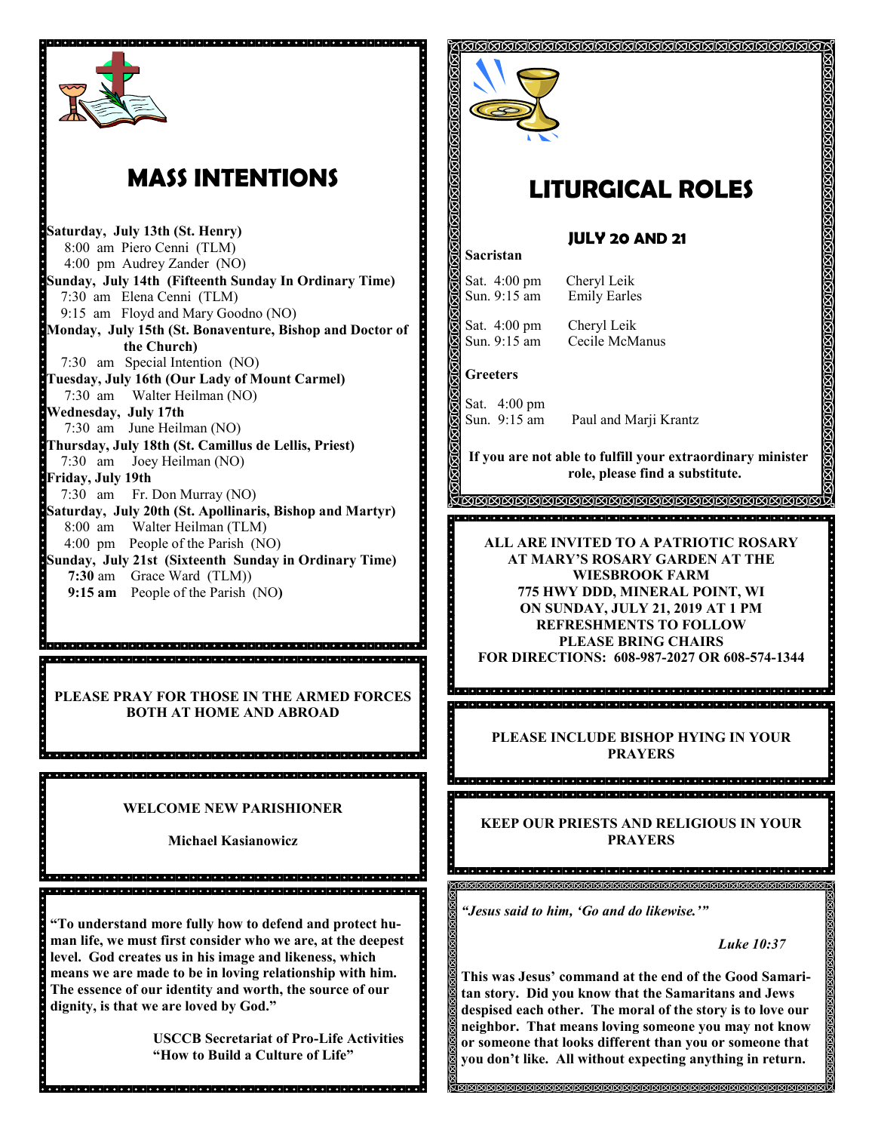

# **MASS INTENTIONS**

**Saturday, July 13th (St. Henry)** 8:00 am Piero Cenni (TLM) 4:00 pm Audrey Zander (NO) **Sunday, July 14th (Fifteenth Sunday In Ordinary Time)** 7:30 am Elena Cenni (TLM) 9:15 am Floyd and Mary Goodno (NO) **Monday, July 15th (St. Bonaventure, Bishop and Doctor of the Church)** 7:30 am Special Intention (NO) **Tuesday, July 16th (Our Lady of Mount Carmel)** 7:30 am Walter Heilman (NO) **Wednesday, July 17th**  7:30 am June Heilman (NO) **Thursday, July 18th (St. Camillus de Lellis, Priest)** 7:30 am Joey Heilman (NO) **Friday, July 19th** 7:30 am Fr. Don Murray (NO) **Saturday, July 20th (St. Apollinaris, Bishop and Martyr)** 8:00 am Walter Heilman (TLM) 4:00 pm People of the Parish (NO) **Sunday, July 21st (Sixteenth Sunday in Ordinary Time) 7:30** am Grace Ward (TLM)) **9:15 am** People of the Parish (NO**)**

**PLEASE PRAY FOR THOSE IN THE ARMED FORCES BOTH AT HOME AND ABROAD** 

a dia laraj dia talaha jalaha jalaha jalaha jalaha jalaha jalaha jalaha jalaha jalaha jalaha jalaha jalaha jal o dia kaominina mpikambana amin'ny faritr'orana amin'ny faritr'orana amin'ny faritr'orana amin'ny faritr'ora

<u>a defet de la fara de la defeta de la cierda de la fara de la fara de la fara de la fara del de la fara de la</u>

#### **WELCOME NEW PARISHIONER**

**Michael Kasianowicz**

a la lata lata la lata la lata la lata la lata la lata la lata la lata la lata lata lata lata lata lata lata lata lata la

**"To understand more fully how to defend and protect human life, we must first consider who we are, at the deepest level. God creates us in his image and likeness, which means we are made to be in loving relationship with him. The essence of our identity and worth, the source of our dignity, is that we are loved by God."**

dia dia kaominina mpiasa amin'ny fivondronan-kaominina dia kaominina mpiasa amin'ny faritr'

**USCCB Secretariat of Pro-Life Activities "How to Build a Culture of Life"** 



# **LITURGICAL ROLES**

## **JULY 20 AND 21**

Sat. 4:00 pm Cheryl Leik Sun. 9:15 am Emily Earles

Sat. 4:00 pm Cheryl Leik

Sun. 9:15 am Cecile McManus

### **Greeters**

. . . . . . . . . . . .

**ABBRRRRRA** 

**Sacristan**

Sat. 4:00 pm Sun. 9:15 am Paul and Marji Krantz

**If you are not able to fulfill your extraordinary minister role, please find a substitute.** 

, TAAAAAAAAAAAAAAAAAAAAAAAAAAAAAAA

**ALL ARE INVITED TO A PATRIOTIC ROSARY AT MARY'S ROSARY GARDEN AT THE WIESBROOK FARM 775 HWY DDD, MINERAL POINT, WI ON SUNDAY, JULY 21, 2019 AT 1 PM REFRESHMENTS TO FOLLOW PLEASE BRING CHAIRS FOR DIRECTIONS: 608-987-2027 OR 608-574-1344**

e de la ciencia de la ciencia de la ciencia de la ciencia de la ciencia de la ciencia de la ciencia

> **PLEASE INCLUDE BISHOP HYING IN YOUR PRAYERS**

**KEEP OUR PRIESTS AND RELIGIOUS IN YOUR** 

**PRAYERS**

।ଗଗଗଗଗଗଗଗଗଗଗଗଗଗଗଗଗଗଗଗଗଗଗଗଗଗଗଗଗଗଗଗଗ

*"Jesus said to him, 'Go and do likewise.'"*

*Luke 10:37*

**This was Jesus' command at the end of the Good Samaritan story. Did you know that the Samaritans and Jews despised each other. The moral of the story is to love our neighbor. That means loving someone you may not know or someone that looks different than you or someone that you don't like. All without expecting anything in return.**